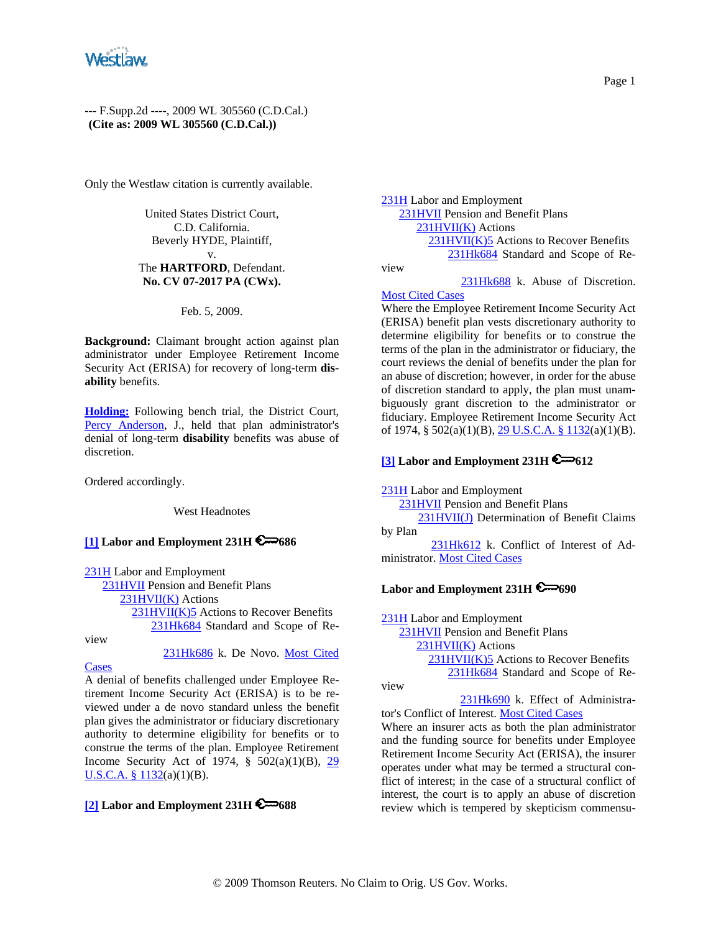

--- F.Supp.2d ----, 2009 WL 305560 (C.D.Cal.) **(Cite as: 2009 WL 305560 (C.D.Cal.))**

Only the Westlaw citation is currently available.

United States District Court, C.D. California. Beverly HYDE, Plaintiff,

#### v. The **HARTFORD**, Defendant. **No. CV 07-2017 PA (CWx).**

#### Feb. 5, 2009.

**Background:** Claimant brought action against plan administrator under Employee Retirement Income Security Act (ERISA) for recovery of long-term **disability** benefits.

**Holding:** Following bench trial, the District Court, Percy Anderson, J., held that plan administrator's denial of long-term **disability** benefits was abuse of discretion.

Ordered accordingly.

West Headnotes

# **[1] Labor and Employment 231H 6 686**

231H Labor and Employment 231HVII Pension and Benefit Plans 231HVII(K) Actions 231HVII(K)5 Actions to Recover Benefits 231Hk684 Standard and Scope of Re-

view

231Hk686 k. De Novo. Most Cited

Cases

A denial of benefits challenged under Employee Retirement Income Security Act (ERISA) is to be reviewed under a de novo standard unless the benefit plan gives the administrator or fiduciary discretionary authority to determine eligibility for benefits or to construe the terms of the plan. Employee Retirement Income Security Act of 1974,  $\S$  502(a)(1)(B), 29 U.S.C.A.  $§ 1132(a)(1)(B)$ .

# **[2] Labor and Employment 231H 688**

231H Labor and Employment 231HVII Pension and Benefit Plans 231HVII(K) Actions 231HVII(K)5 Actions to Recover Benefits 231Hk684 Standard and Scope of Review

 231Hk688 k. Abuse of Discretion. Most Cited Cases

Where the Employee Retirement Income Security Act (ERISA) benefit plan vests discretionary authority to determine eligibility for benefits or to construe the terms of the plan in the administrator or fiduciary, the court reviews the denial of benefits under the plan for an abuse of discretion; however, in order for the abuse of discretion standard to apply, the plan must unambiguously grant discretion to the administrator or fiduciary. Employee Retirement Income Security Act of 1974, §  $502(a)(1)(B)$ ,  $29 U.S.C.A.$  §  $1132(a)(1)(B)$ .

## **[3] Labor and Employment 231H 6**-612

231H Labor and Employment 231HVII Pension and Benefit Plans 231HVII(J) Determination of Benefit Claims by Plan 231Hk612 k. Conflict of Interest of Ad-

ministrator. Most Cited Cases

# Labor and Employment 231H

231H Labor and Employment 231HVII Pension and Benefit Plans 231HVII(K) Actions 231HVII(K)5 Actions to Recover Benefits 231Hk684 Standard and Scope of Re-

view

 231Hk690 k. Effect of Administrator's Conflict of Interest. Most Cited Cases

Where an insurer acts as both the plan administrator and the funding source for benefits under Employee Retirement Income Security Act (ERISA), the insurer operates under what may be termed a structural conflict of interest; in the case of a structural conflict of interest, the court is to apply an abuse of discretion review which is tempered by skepticism commensu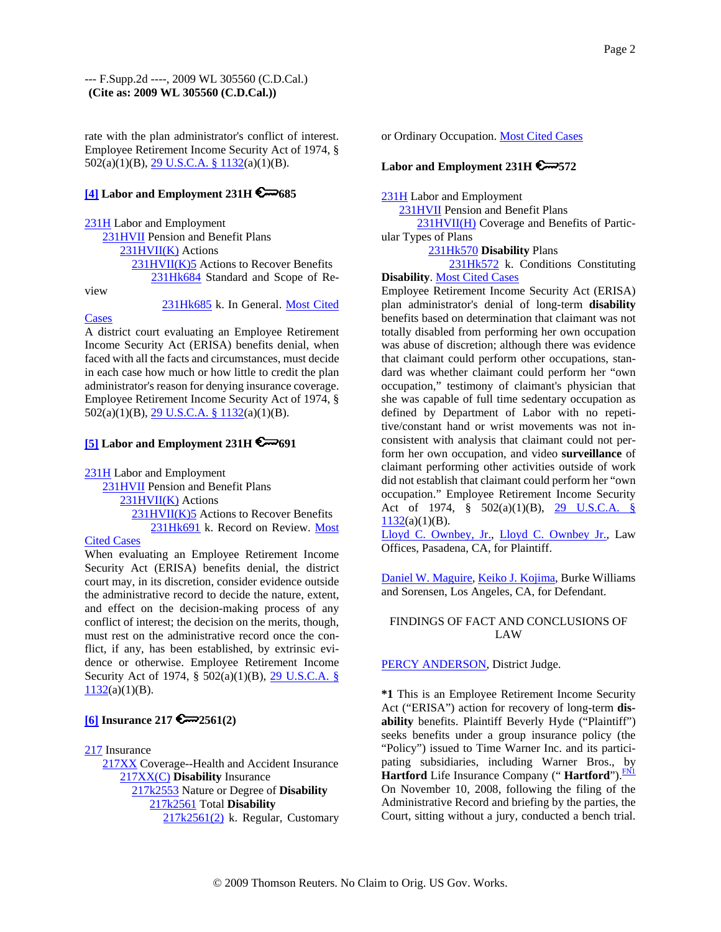rate with the plan administrator's conflict of interest. Employee Retirement Income Security Act of 1974, § 502(a)(1)(B), 29 U.S.C.A. § 1132(a)(1)(B).

## **[4] Labor and Employment 231H 6 685**

231H Labor and Employment 231HVII Pension and Benefit Plans 231HVII(K) Actions 231HVII(K)5 Actions to Recover Benefits 231Hk684 Standard and Scope of Review

231Hk685 k. In General. Most Cited

Cases A district court evaluating an Employee Retirement Income Security Act (ERISA) benefits denial, when faced with all the facts and circumstances, must decide in each case how much or how little to credit the plan administrator's reason for denying insurance coverage. Employee Retirement Income Security Act of 1974, § 502(a)(1)(B), 29 U.S.C.A. § 1132(a)(1)(B).

## **[5] Labor and Employment 231H**  $\mathbb{R}$  691

231H Labor and Employment

 231HVII Pension and Benefit Plans 231HVII(K) Actions 231HVII(K)5 Actions to Recover Benefits 231Hk691 k. Record on Review. Most

### Cited Cases

When evaluating an Employee Retirement Income Security Act (ERISA) benefits denial, the district court may, in its discretion, consider evidence outside the administrative record to decide the nature, extent, and effect on the decision-making process of any conflict of interest; the decision on the merits, though, must rest on the administrative record once the conflict, if any, has been established, by extrinsic evidence or otherwise. Employee Retirement Income Security Act of 1974, § 502(a)(1)(B), 29 U.S.C.A. §  $1132(a)(1)(B)$ .

## **[6] Insurance 217 2561(2)**

217 Insurance

 217XX Coverage--Health and Accident Insurance 217XX(C) **Disability** Insurance 217k2553 Nature or Degree of **Disability** 217k2561 Total **Disability** 217k2561(2) k. Regular, Customary or Ordinary Occupation. Most Cited Cases

# **Labor and Employment 231H 572**

231H Labor and Employment

231HVII Pension and Benefit Plans

 231HVII(H) Coverage and Benefits of Particular Types of Plans

231Hk570 **Disability** Plans

 231Hk572 k. Conditions Constituting **Disability**. Most Cited Cases

Employee Retirement Income Security Act (ERISA) plan administrator's denial of long-term **disability** benefits based on determination that claimant was not totally disabled from performing her own occupation was abuse of discretion; although there was evidence that claimant could perform other occupations, standard was whether claimant could perform her "own occupation," testimony of claimant's physician that she was capable of full time sedentary occupation as defined by Department of Labor with no repetitive/constant hand or wrist movements was not inconsistent with analysis that claimant could not perform her own occupation, and video **surveillance** of claimant performing other activities outside of work did not establish that claimant could perform her "own occupation." Employee Retirement Income Security Act of 1974, § 502(a)(1)(B), 29 U.S.C.A. §  $1132(a)(1)(B)$ .

Lloyd C. Ownbey, Jr., Lloyd C. Ownbey Jr., Law Offices, Pasadena, CA, for Plaintiff.

Daniel W. Maguire, Keiko J. Kojima, Burke Williams and Sorensen, Los Angeles, CA, for Defendant.

## FINDINGS OF FACT AND CONCLUSIONS OF LAW

### PERCY ANDERSON, District Judge.

**\*1** This is an Employee Retirement Income Security Act ("ERISA") action for recovery of long-term **disability** benefits. Plaintiff Beverly Hyde ("Plaintiff") seeks benefits under a group insurance policy (the "Policy") issued to Time Warner Inc. and its participating subsidiaries, including Warner Bros., by **Hartford** Life Insurance Company ("Hartford").<sup>FN1</sup> On November 10, 2008, following the filing of the Administrative Record and briefing by the parties, the Court, sitting without a jury, conducted a bench trial.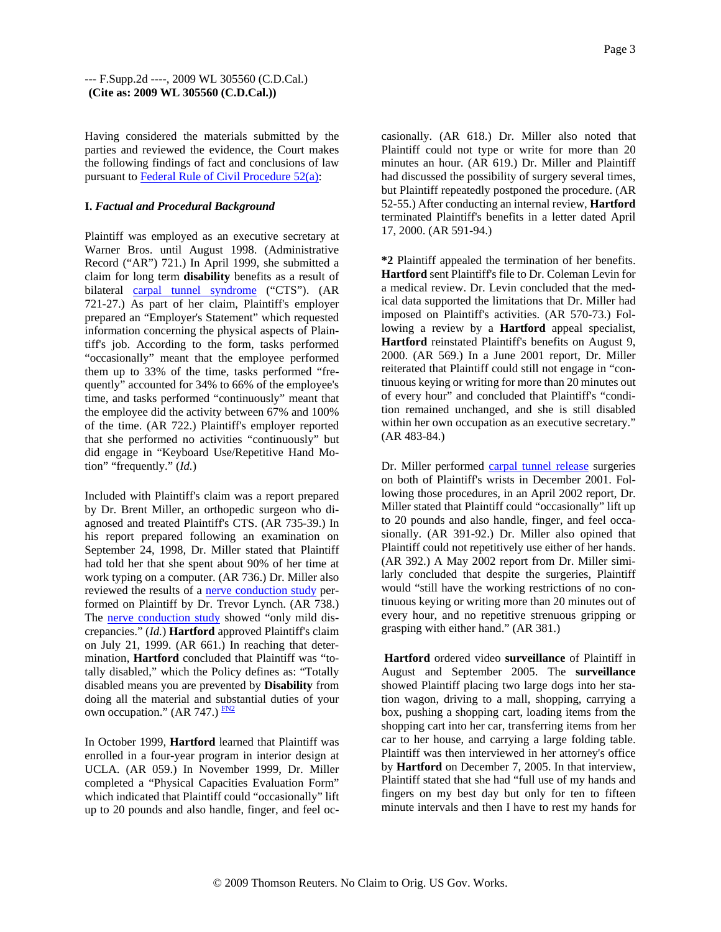Having considered the materials submitted by the parties and reviewed the evidence, the Court makes the following findings of fact and conclusions of law pursuant to Federal Rule of Civil Procedure 52(a):

#### **I.** *Factual and Procedural Background*

Plaintiff was employed as an executive secretary at Warner Bros. until August 1998. (Administrative Record ("AR") 721.) In April 1999, she submitted a claim for long term **disability** benefits as a result of bilateral carpal tunnel syndrome ("CTS"). (AR 721-27.) As part of her claim, Plaintiff's employer prepared an "Employer's Statement" which requested information concerning the physical aspects of Plaintiff's job. According to the form, tasks performed "occasionally" meant that the employee performed them up to 33% of the time, tasks performed "frequently" accounted for 34% to 66% of the employee's time, and tasks performed "continuously" meant that the employee did the activity between 67% and 100% of the time. (AR 722.) Plaintiff's employer reported that she performed no activities "continuously" but did engage in "Keyboard Use/Repetitive Hand Motion" "frequently." (*Id.*)

Included with Plaintiff's claim was a report prepared by Dr. Brent Miller, an orthopedic surgeon who diagnosed and treated Plaintiff's CTS. (AR 735-39.) In his report prepared following an examination on September 24, 1998, Dr. Miller stated that Plaintiff had told her that she spent about 90% of her time at work typing on a computer. (AR 736.) Dr. Miller also reviewed the results of a nerve conduction study performed on Plaintiff by Dr. Trevor Lynch. (AR 738.) The nerve conduction study showed "only mild discrepancies." (*Id.*) **Hartford** approved Plaintiff's claim on July 21, 1999. (AR 661.) In reaching that determination, **Hartford** concluded that Plaintiff was "totally disabled," which the Policy defines as: "Totally disabled means you are prevented by **Disability** from doing all the material and substantial duties of your own occupation." (AR 747.)  $\frac{FN2}{FN}$ 

In October 1999, **Hartford** learned that Plaintiff was enrolled in a four-year program in interior design at UCLA. (AR 059.) In November 1999, Dr. Miller completed a "Physical Capacities Evaluation Form" which indicated that Plaintiff could "occasionally" lift up to 20 pounds and also handle, finger, and feel occasionally. (AR 618.) Dr. Miller also noted that Plaintiff could not type or write for more than 20 minutes an hour. (AR 619.) Dr. Miller and Plaintiff had discussed the possibility of surgery several times, but Plaintiff repeatedly postponed the procedure. (AR 52-55.) After conducting an internal review, **Hartford** terminated Plaintiff's benefits in a letter dated April 17, 2000. (AR 591-94.)

**\*2** Plaintiff appealed the termination of her benefits. **Hartford** sent Plaintiff's file to Dr. Coleman Levin for a medical review. Dr. Levin concluded that the medical data supported the limitations that Dr. Miller had imposed on Plaintiff's activities. (AR 570-73.) Following a review by a **Hartford** appeal specialist, **Hartford** reinstated Plaintiff's benefits on August 9, 2000. (AR 569.) In a June 2001 report, Dr. Miller reiterated that Plaintiff could still not engage in "continuous keying or writing for more than 20 minutes out of every hour" and concluded that Plaintiff's "condition remained unchanged, and she is still disabled within her own occupation as an executive secretary." (AR 483-84.)

Dr. Miller performed carpal tunnel release surgeries on both of Plaintiff's wrists in December 2001. Following those procedures, in an April 2002 report, Dr. Miller stated that Plaintiff could "occasionally" lift up to 20 pounds and also handle, finger, and feel occasionally. (AR 391-92.) Dr. Miller also opined that Plaintiff could not repetitively use either of her hands. (AR 392.) A May 2002 report from Dr. Miller similarly concluded that despite the surgeries, Plaintiff would "still have the working restrictions of no continuous keying or writing more than 20 minutes out of every hour, and no repetitive strenuous gripping or grasping with either hand." (AR 381.)

**Hartford** ordered video **surveillance** of Plaintiff in August and September 2005. The **surveillance** showed Plaintiff placing two large dogs into her station wagon, driving to a mall, shopping, carrying a box, pushing a shopping cart, loading items from the shopping cart into her car, transferring items from her car to her house, and carrying a large folding table. Plaintiff was then interviewed in her attorney's office by **Hartford** on December 7, 2005. In that interview, Plaintiff stated that she had "full use of my hands and fingers on my best day but only for ten to fifteen minute intervals and then I have to rest my hands for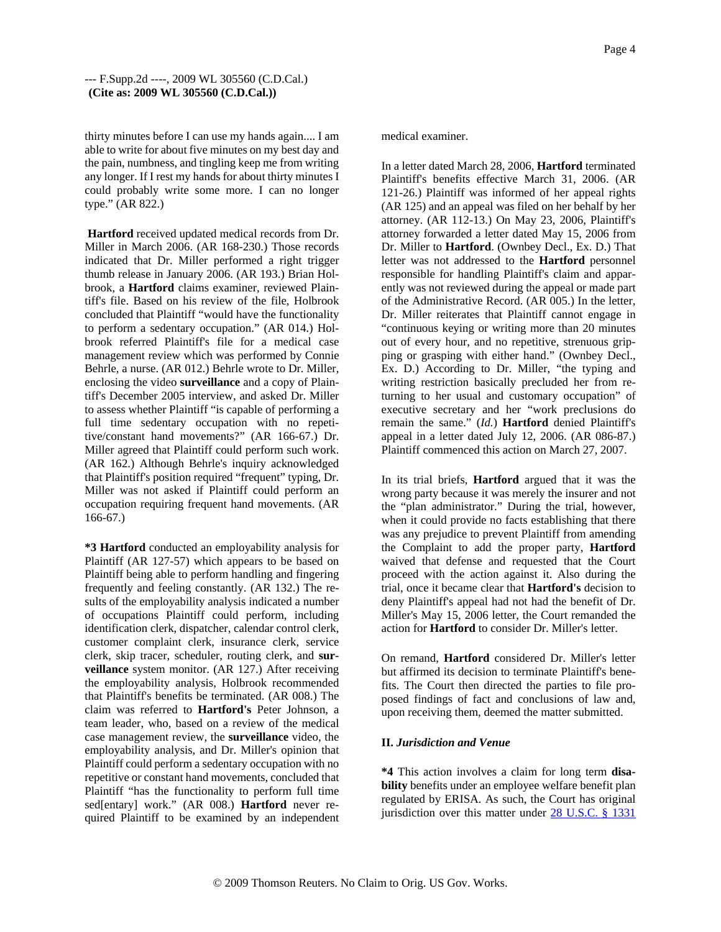thirty minutes before I can use my hands again.... I am able to write for about five minutes on my best day and the pain, numbness, and tingling keep me from writing any longer. If I rest my hands for about thirty minutes I could probably write some more. I can no longer type." (AR 822.)

**Hartford** received updated medical records from Dr. Miller in March 2006. (AR 168-230.) Those records indicated that Dr. Miller performed a right trigger thumb release in January 2006. (AR 193.) Brian Holbrook, a **Hartford** claims examiner, reviewed Plaintiff's file. Based on his review of the file, Holbrook concluded that Plaintiff "would have the functionality to perform a sedentary occupation." (AR 014.) Holbrook referred Plaintiff's file for a medical case management review which was performed by Connie Behrle, a nurse. (AR 012.) Behrle wrote to Dr. Miller, enclosing the video **surveillance** and a copy of Plaintiff's December 2005 interview, and asked Dr. Miller to assess whether Plaintiff "is capable of performing a full time sedentary occupation with no repetitive/constant hand movements?" (AR 166-67.) Dr. Miller agreed that Plaintiff could perform such work. (AR 162.) Although Behrle's inquiry acknowledged that Plaintiff's position required "frequent" typing, Dr. Miller was not asked if Plaintiff could perform an occupation requiring frequent hand movements. (AR 166-67.)

**\*3 Hartford** conducted an employability analysis for Plaintiff (AR 127-57) which appears to be based on Plaintiff being able to perform handling and fingering frequently and feeling constantly. (AR 132.) The results of the employability analysis indicated a number of occupations Plaintiff could perform, including identification clerk, dispatcher, calendar control clerk, customer complaint clerk, insurance clerk, service clerk, skip tracer, scheduler, routing clerk, and **surveillance** system monitor. (AR 127.) After receiving the employability analysis, Holbrook recommended that Plaintiff's benefits be terminated. (AR 008.) The claim was referred to **Hartford's** Peter Johnson, a team leader, who, based on a review of the medical case management review, the **surveillance** video, the employability analysis, and Dr. Miller's opinion that Plaintiff could perform a sedentary occupation with no repetitive or constant hand movements, concluded that Plaintiff "has the functionality to perform full time sed[entary] work." (AR 008.) **Hartford** never required Plaintiff to be examined by an independent

#### medical examiner.

In a letter dated March 28, 2006, **Hartford** terminated Plaintiff's benefits effective March 31, 2006. (AR 121-26.) Plaintiff was informed of her appeal rights (AR 125) and an appeal was filed on her behalf by her attorney. (AR 112-13.) On May 23, 2006, Plaintiff's attorney forwarded a letter dated May 15, 2006 from Dr. Miller to **Hartford**. (Ownbey Decl., Ex. D.) That letter was not addressed to the **Hartford** personnel responsible for handling Plaintiff's claim and apparently was not reviewed during the appeal or made part of the Administrative Record. (AR 005.) In the letter, Dr. Miller reiterates that Plaintiff cannot engage in "continuous keying or writing more than 20 minutes out of every hour, and no repetitive, strenuous gripping or grasping with either hand." (Ownbey Decl., Ex. D.) According to Dr. Miller, "the typing and writing restriction basically precluded her from returning to her usual and customary occupation" of executive secretary and her "work preclusions do remain the same." (*Id.*) **Hartford** denied Plaintiff's appeal in a letter dated July 12, 2006. (AR 086-87.) Plaintiff commenced this action on March 27, 2007.

In its trial briefs, **Hartford** argued that it was the wrong party because it was merely the insurer and not the "plan administrator." During the trial, however, when it could provide no facts establishing that there was any prejudice to prevent Plaintiff from amending the Complaint to add the proper party, **Hartford** waived that defense and requested that the Court proceed with the action against it. Also during the trial, once it became clear that **Hartford's** decision to deny Plaintiff's appeal had not had the benefit of Dr. Miller's May 15, 2006 letter, the Court remanded the action for **Hartford** to consider Dr. Miller's letter.

On remand, **Hartford** considered Dr. Miller's letter but affirmed its decision to terminate Plaintiff's benefits. The Court then directed the parties to file proposed findings of fact and conclusions of law and, upon receiving them, deemed the matter submitted.

### **II.** *Jurisdiction and Venue*

**\*4** This action involves a claim for long term **disability** benefits under an employee welfare benefit plan regulated by ERISA. As such, the Court has original jurisdiction over this matter under 28 U.S.C. § 1331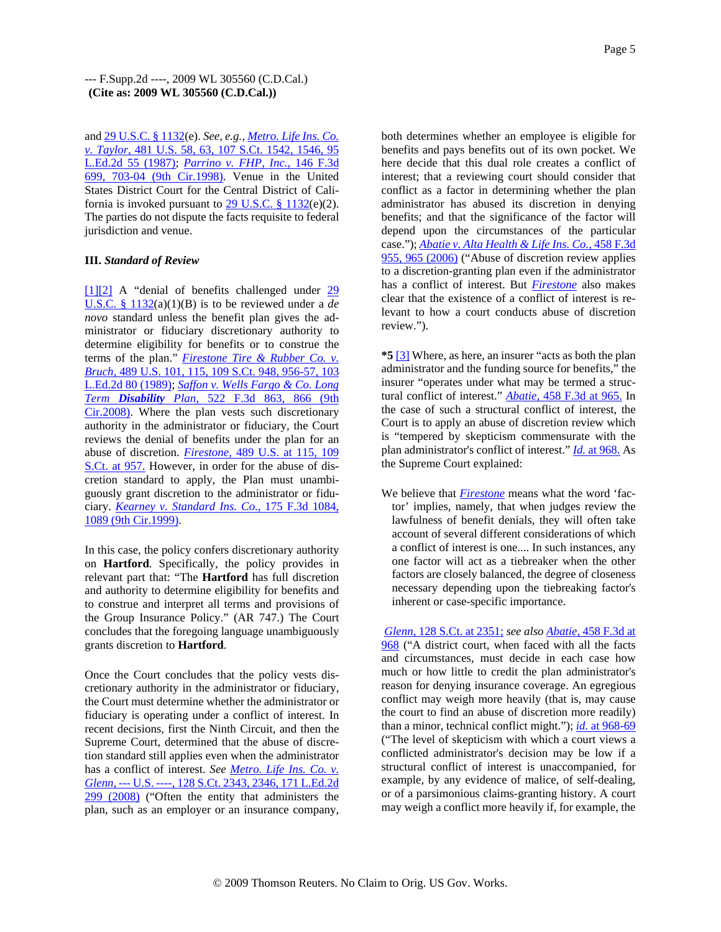and 29 U.S.C. § 1132(e). *See, e.g., Metro. Life Ins. Co. v. Taylor,* 481 U.S. 58, 63, 107 S.Ct. 1542, 1546, 95 L.Ed.2d 55 (1987); *Parrino v. FHP, Inc.,* 146 F.3d 699, 703-04 (9th Cir.1998). Venue in the United States District Court for the Central District of California is invoked pursuant to  $29$  U.S.C. § 1132(e)(2). The parties do not dispute the facts requisite to federal jurisdiction and venue.

### **III.** *Standard of Review*

[1][2] A "denial of benefits challenged under 29 U.S.C. § 1132(a)(1)(B) is to be reviewed under a *de novo* standard unless the benefit plan gives the administrator or fiduciary discretionary authority to determine eligibility for benefits or to construe the terms of the plan." *Firestone Tire & Rubber Co. v. Bruch,* 489 U.S. 101, 115, 109 S.Ct. 948, 956-57, 103 L.Ed.2d 80 (1989); *Saffon v. Wells Fargo & Co. Long Term Disability Plan,* 522 F.3d 863, 866 (9th Cir.2008). Where the plan vests such discretionary authority in the administrator or fiduciary, the Court reviews the denial of benefits under the plan for an abuse of discretion. *Firestone,* 489 U.S. at 115, 109 S.Ct. at 957. However, in order for the abuse of discretion standard to apply, the Plan must unambiguously grant discretion to the administrator or fiduciary. *Kearney v. Standard Ins. Co.,* 175 F.3d 1084, 1089 (9th Cir.1999).

In this case, the policy confers discretionary authority on **Hartford**. Specifically, the policy provides in relevant part that: "The **Hartford** has full discretion and authority to determine eligibility for benefits and to construe and interpret all terms and provisions of the Group Insurance Policy." (AR 747.) The Court concludes that the foregoing language unambiguously grants discretion to **Hartford**.

Once the Court concludes that the policy vests discretionary authority in the administrator or fiduciary, the Court must determine whether the administrator or fiduciary is operating under a conflict of interest. In recent decisions, first the Ninth Circuit, and then the Supreme Court, determined that the abuse of discretion standard still applies even when the administrator has a conflict of interest. *See Metro. Life Ins. Co. v. Glenn,* --- U.S. ----, 128 S.Ct. 2343, 2346, 171 L.Ed.2d 299 (2008) ("Often the entity that administers the plan, such as an employer or an insurance company,

both determines whether an employee is eligible for benefits and pays benefits out of its own pocket. We here decide that this dual role creates a conflict of interest; that a reviewing court should consider that conflict as a factor in determining whether the plan administrator has abused its discretion in denying benefits; and that the significance of the factor will depend upon the circumstances of the particular case."); *Abatie v. Alta Health & Life Ins. Co.,* 458 F.3d 955, 965 (2006) ("Abuse of discretion review applies to a discretion-granting plan even if the administrator has a conflict of interest. But *Firestone* also makes clear that the existence of a conflict of interest is relevant to how a court conducts abuse of discretion review.").

**\*5** [3] Where, as here, an insurer "acts as both the plan administrator and the funding source for benefits," the insurer "operates under what may be termed a structural conflict of interest." *Abatie,* 458 F.3d at 965. In the case of such a structural conflict of interest, the Court is to apply an abuse of discretion review which is "tempered by skepticism commensurate with the plan administrator's conflict of interest." *Id.* at 968. As the Supreme Court explained:

We believe that *Firestone* means what the word 'factor' implies, namely, that when judges review the lawfulness of benefit denials, they will often take account of several different considerations of which a conflict of interest is one.... In such instances, any one factor will act as a tiebreaker when the other factors are closely balanced, the degree of closeness necessary depending upon the tiebreaking factor's inherent or case-specific importance.

*Glenn,* 128 S.Ct. at 2351; *see also Abatie,* 458 F.3d at 968 ("A district court, when faced with all the facts and circumstances, must decide in each case how much or how little to credit the plan administrator's reason for denying insurance coverage. An egregious conflict may weigh more heavily (that is, may cause the court to find an abuse of discretion more readily) than a minor, technical conflict might."); *id.* at 968-69 ("The level of skepticism with which a court views a conflicted administrator's decision may be low if a structural conflict of interest is unaccompanied, for example, by any evidence of malice, of self-dealing, or of a parsimonious claims-granting history. A court may weigh a conflict more heavily if, for example, the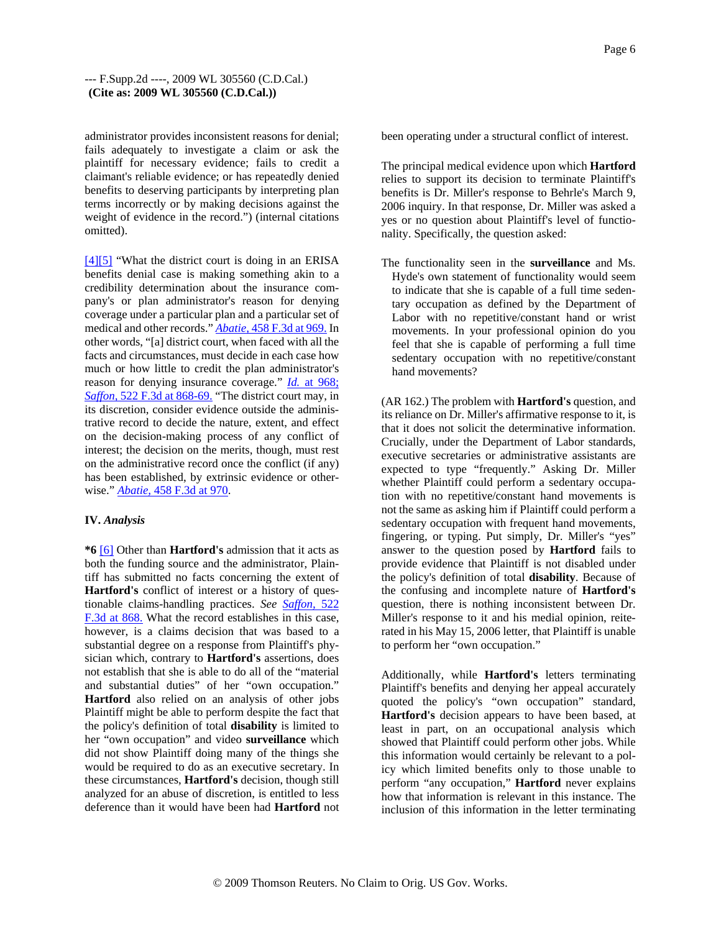### --- F.Supp.2d ----, 2009 WL 305560 (C.D.Cal.) **(Cite as: 2009 WL 305560 (C.D.Cal.))**

administrator provides inconsistent reasons for denial; fails adequately to investigate a claim or ask the plaintiff for necessary evidence; fails to credit a claimant's reliable evidence; or has repeatedly denied benefits to deserving participants by interpreting plan terms incorrectly or by making decisions against the weight of evidence in the record.") (internal citations omitted).

[4][5] "What the district court is doing in an ERISA benefits denial case is making something akin to a credibility determination about the insurance company's or plan administrator's reason for denying coverage under a particular plan and a particular set of medical and other records." *Abatie,* 458 F.3d at 969. In other words, "[a] district court, when faced with all the facts and circumstances, must decide in each case how much or how little to credit the plan administrator's reason for denying insurance coverage." *Id.* at 968; *Saffon,* 522 F.3d at 868-69. "The district court may, in its discretion, consider evidence outside the administrative record to decide the nature, extent, and effect on the decision-making process of any conflict of interest; the decision on the merits, though, must rest on the administrative record once the conflict (if any) has been established, by extrinsic evidence or otherwise." *Abatie,* 458 F.3d at 970.

#### **IV.** *Analysis*

**\*6** [6] Other than **Hartford's** admission that it acts as both the funding source and the administrator, Plaintiff has submitted no facts concerning the extent of **Hartford's** conflict of interest or a history of questionable claims-handling practices. *See Saffon,* 522 F.3d at 868. What the record establishes in this case, however, is a claims decision that was based to a substantial degree on a response from Plaintiff's physician which, contrary to **Hartford's** assertions, does not establish that she is able to do all of the "material and substantial duties" of her "own occupation." **Hartford** also relied on an analysis of other jobs Plaintiff might be able to perform despite the fact that the policy's definition of total **disability** is limited to her "own occupation" and video **surveillance** which did not show Plaintiff doing many of the things she would be required to do as an executive secretary. In these circumstances, **Hartford's** decision, though still analyzed for an abuse of discretion, is entitled to less deference than it would have been had **Hartford** not been operating under a structural conflict of interest.

The principal medical evidence upon which **Hartford** relies to support its decision to terminate Plaintiff's benefits is Dr. Miller's response to Behrle's March 9, 2006 inquiry. In that response, Dr. Miller was asked a yes or no question about Plaintiff's level of functionality. Specifically, the question asked:

The functionality seen in the **surveillance** and Ms. Hyde's own statement of functionality would seem to indicate that she is capable of a full time sedentary occupation as defined by the Department of Labor with no repetitive/constant hand or wrist movements. In your professional opinion do you feel that she is capable of performing a full time sedentary occupation with no repetitive/constant hand movements?

(AR 162.) The problem with **Hartford's** question, and its reliance on Dr. Miller's affirmative response to it, is that it does not solicit the determinative information. Crucially, under the Department of Labor standards, executive secretaries or administrative assistants are expected to type "frequently." Asking Dr. Miller whether Plaintiff could perform a sedentary occupation with no repetitive/constant hand movements is not the same as asking him if Plaintiff could perform a sedentary occupation with frequent hand movements, fingering, or typing. Put simply, Dr. Miller's "yes" answer to the question posed by **Hartford** fails to provide evidence that Plaintiff is not disabled under the policy's definition of total **disability**. Because of the confusing and incomplete nature of **Hartford's** question, there is nothing inconsistent between Dr. Miller's response to it and his medial opinion, reiterated in his May 15, 2006 letter, that Plaintiff is unable to perform her "own occupation."

Additionally, while **Hartford's** letters terminating Plaintiff's benefits and denying her appeal accurately quoted the policy's "own occupation" standard, **Hartford's** decision appears to have been based, at least in part, on an occupational analysis which showed that Plaintiff could perform other jobs. While this information would certainly be relevant to a policy which limited benefits only to those unable to perform "any occupation," **Hartford** never explains how that information is relevant in this instance. The inclusion of this information in the letter terminating